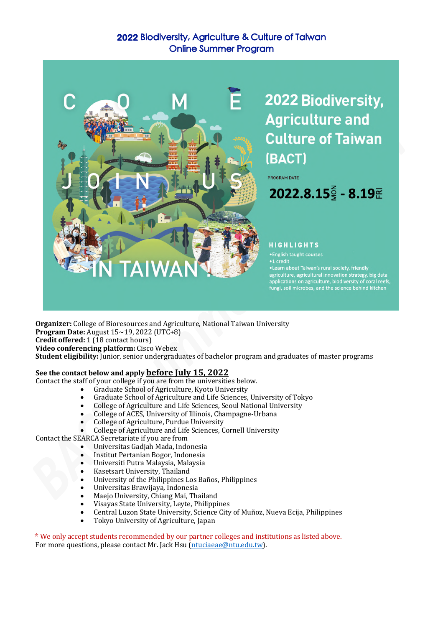## **2022** Biodiversity, Agriculture & Culture of Taiwan Online Summer Program



2022 Biodiversity, **Agriculture and Culture of Taiwan** (BACT)

PROGRAM DATE

 $2022.8.15\frac{2}{5} - 8.19\frac{2}{5}$ 

#### **HIGHLIGHTS**

· English taught courses •1 credit

-Learn about Taiwan's rural society, friendly<br>agriculture, agricultural innovation strategy, big data applications on agriculture, biodiversity of coral reefs, fungi, soil microbes, and the science behind kitchen

**Organizer:** College of Bioresources and Agriculture, National Taiwan University **Program Date:** August  $15 \sim 19$ , 2022 (UTC+8) **Credit offered:** 1 (18 contact hours) **Video conferencing platform:** Cisco Webex Student eligibility: Junior, senior undergraduates of bachelor program and graduates of master programs

#### See the contact below and apply **before July 15, 2022**

Contact the staff of your college if you are from the universities below.

- Graduate School of Agriculture, Kyoto University
- Graduate School of Agriculture and Life Sciences, University of Tokyo
- College of Agriculture and Life Sciences, Seoul National University
- College of ACES, University of Illinois, Champagne-Urbana
- College of Agriculture, Purdue University
- College of Agriculture and Life Sciences, Cornell University
- Contact the SEARCA Secretariate if you are from
	- Universitas Gadjah Mada, Indonesia
	- Institut Pertanian Bogor, Indonesia
	- Universiti Putra Malaysia, Malaysia
	- Kasetsart University, Thailand
	- University of the Philippines Los Baños, Philippines
	- Universitas Brawijaya, Indonesia
	- Maejo University, Chiang Mai, Thailand
	- Visayas State University, Leyte, Philippines
	- Central Luzon State University, Science City of Muñoz, Nueva Ecija, Philippines
	- Tokyo University of Agriculture, Japan

\* We only accept students recommended by our partner colleges and institutions as listed above. For more questions, please contact Mr. Jack Hsu (ntuciaeae@ntu.edu.tw).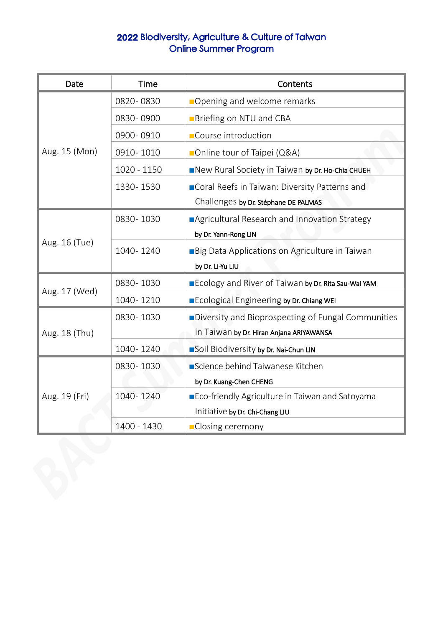# **2022** Biodiversity, Agriculture & Culture of Taiwan Online Summer Program

| Date          | <b>Time</b> | Contents                                                   |
|---------------|-------------|------------------------------------------------------------|
| Aug. 15 (Mon) | 0820-0830   | Opening and welcome remarks                                |
|               | 0830-0900   | <b>Briefing on NTU and CBA</b>                             |
|               | 0900-0910   | Course introduction                                        |
|               | 0910-1010   | Online tour of Taipei (Q&A)                                |
|               | 1020 - 1150 | New Rural Society in Taiwan by Dr. Ho-Chia CHUEH           |
|               | 1330-1530   | Coral Reefs in Taiwan: Diversity Patterns and              |
|               |             | Challenges by Dr. Stéphane DE PALMAS                       |
| Aug. 16 (Tue) | 0830-1030   | Agricultural Research and Innovation Strategy              |
|               |             | by Dr. Yann-Rong LIN                                       |
|               | 1040-1240   | Big Data Applications on Agriculture in Taiwan             |
|               |             | by Dr. Li-Yu LIU                                           |
| Aug. 17 (Wed) | 0830-1030   | <b>Ecology and River of Taiwan by Dr. Rita Sau-Wai YAM</b> |
|               | 1040-1210   | Ecological Engineering by Dr. Chiang WEI                   |
| Aug. 18 (Thu) | 0830-1030   | <b>Diversity and Bioprospecting of Fungal Communities</b>  |
|               |             | in Taiwan by Dr. Hiran Anjana ARIYAWANSA                   |
|               | 1040-1240   | Soil Biodiversity by Dr. Nai-Chun LIN                      |
| Aug. 19 (Fri) | 0830-1030   | Science behind Taiwanese Kitchen                           |
|               |             | by Dr. Kuang-Chen CHENG                                    |
|               | 1040-1240   | Eco-friendly Agriculture in Taiwan and Satoyama            |
|               |             | Initiative by Dr. Chi-Chang LIU                            |
|               | 1400 - 1430 | <b>Closing ceremony</b>                                    |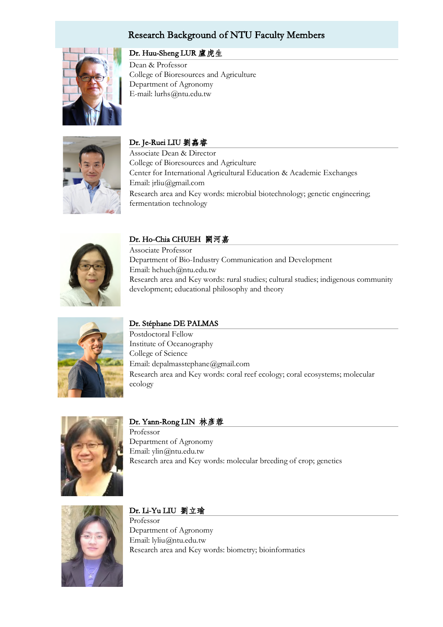## Research Background of NTU Faculty Members



## Dr. Huu-Sheng LUR 盧虎生

Dean & Professor College of Bioresources and Agriculture Department of Agronomy E-mail: lurhs@ntu.edu.tw



### Dr. Je-Ruei LIU 劉嚞睿

Associate Dean & Director College of Bioresources and Agriculture Center for International Agricultural Education & Academic Exchanges Email: jrliu@gmail.com Research area and Key words: microbial biotechnology; genetic engineering; fermentation technology



### Dr. Ho-Chia CHUEH 闕河嘉

Associate Professor Department of Bio-Industry Communication and Development Email: hchueh@ntu.edu.tw Research area and Key words: rural studies; cultural studies; indigenous community development; educational philosophy and theory



### Dr. Stéphane DE PALMAS

Postdoctoral Fellow Institute of Oceanography College of Science Email: depalmasstephane@gmail.com Research area and Key words: coral reef ecology; coral ecosystems; molecular ecology



#### Dr. Yann-Rong LIN 林彥蓉

Professor Department of Agronomy Email: ylin@ntu.edu.tw Research area and Key words: molecular breeding of crop; genetics



### Dr. Li-Yu LIU 劉立瑜

Professor Department of Agronomy Email: lyliu@ntu.edu.tw Research area and Key words: biometry; bioinformatics